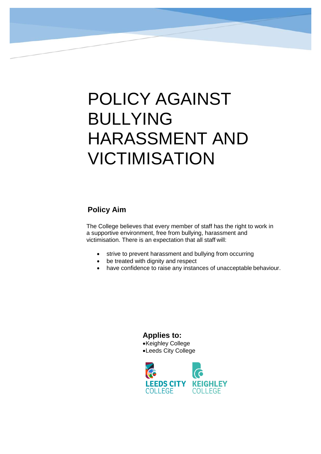# POLICY AGAINST BULLYING HARASSMENT AND VICTIMISATION

# **Policy Aim**

The College believes that every member of staff has the right to work in a supportive environment, free from bullying, harassment and victimisation. There is an expectation that all staff will:

- strive to prevent harassment and bullying from occurring
- be treated with dignity and respect
- have confidence to raise any instances of unacceptable behaviour.

**Applies to:** •Keighley College •Leeds City College

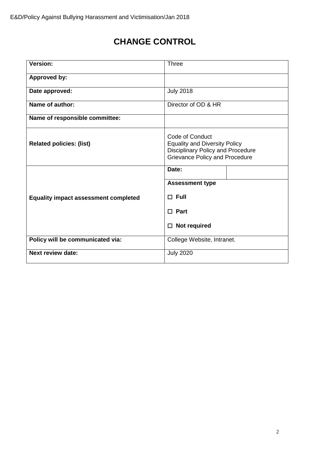# **CHANGE CONTROL**

| <b>Version:</b>                             | Three                                                                                                                                        |  |
|---------------------------------------------|----------------------------------------------------------------------------------------------------------------------------------------------|--|
| <b>Approved by:</b>                         |                                                                                                                                              |  |
| Date approved:                              | <b>July 2018</b>                                                                                                                             |  |
| Name of author:                             | Director of OD & HR                                                                                                                          |  |
| Name of responsible committee:              |                                                                                                                                              |  |
| <b>Related policies: (list)</b>             | Code of Conduct<br><b>Equality and Diversity Policy</b><br><b>Disciplinary Policy and Procedure</b><br><b>Grievance Policy and Procedure</b> |  |
|                                             | Date:                                                                                                                                        |  |
|                                             | <b>Assessment type</b>                                                                                                                       |  |
| <b>Equality impact assessment completed</b> | $\Box$ Full                                                                                                                                  |  |
|                                             | $\square$ Part                                                                                                                               |  |
|                                             | Not required<br>□                                                                                                                            |  |
| Policy will be communicated via:            | College Website, Intranet.                                                                                                                   |  |
| <b>Next review date:</b>                    | <b>July 2020</b>                                                                                                                             |  |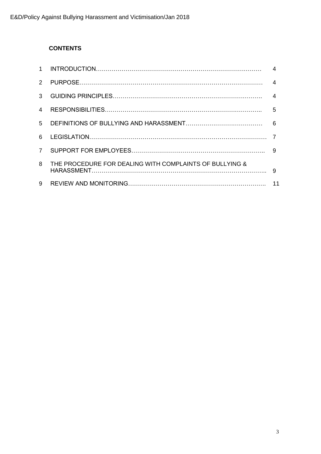# **CONTENTS**

| $1 \quad$     |                                                         |                |
|---------------|---------------------------------------------------------|----------------|
| $\mathcal{P}$ |                                                         | $\overline{4}$ |
| 3             |                                                         |                |
| 4             |                                                         |                |
|               |                                                         |                |
| 6             |                                                         |                |
| $7^{\circ}$   |                                                         |                |
| 8             | THE PROCEDURE FOR DEALING WITH COMPLAINTS OF BULLYING & | -9             |
| 9             |                                                         | 11             |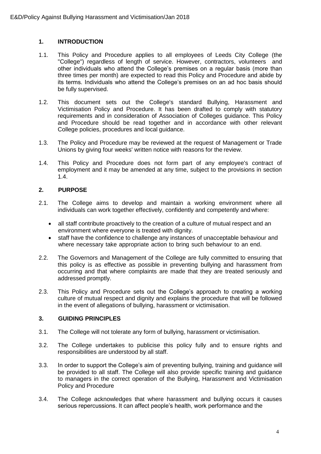# **1. INTRODUCTION**

- 1.1. This Policy and Procedure applies to all employees of Leeds City College (the "College") regardless of length of service. However, contractors, volunteers and other individuals who attend the College's premises on a regular basis (more than three times per month) are expected to read this Policy and Procedure and abide by its terms. Individuals who attend the College's premises on an ad hoc basis should be fully supervised.
- 1.2. This document sets out the College's standard Bullying, Harassment and Victimisation Policy and Procedure. It has been drafted to comply with statutory requirements and in consideration of Association of Colleges guidance. This Policy and Procedure should be read together and in accordance with other relevant College policies, procedures and local guidance.
- 1.3. The Policy and Procedure may be reviewed at the request of Management or Trade Unions by giving four weeks' written notice with reasons for the review.
- 1.4. This Policy and Procedure does not form part of any employee's contract of employment and it may be amended at any time, subject to the provisions in section 1.4.

#### **2. PURPOSE**

- 2.1. The College aims to develop and maintain a working environment where all individuals can work together effectively, confidently and competently and where:
	- all staff contribute proactively to the creation of a culture of mutual respect and an environment where everyone is treated with dignity.
	- staff have the confidence to challenge any instances of unacceptable behaviour and where necessary take appropriate action to bring such behaviour to an end.
- 2.2. The Governors and Management of the College are fully committed to ensuring that this policy is as effective as possible in preventing bullying and harassment from occurring and that where complaints are made that they are treated seriously and addressed promptly.
- 2.3. This Policy and Procedure sets out the College's approach to creating a working culture of mutual respect and dignity and explains the procedure that will be followed in the event of allegations of bullying, harassment or victimisation.

#### **3. GUIDING PRINCIPLES**

- 3.1. The College will not tolerate any form of bullying, harassment or victimisation.
- 3.2. The College undertakes to publicise this policy fully and to ensure rights and responsibilities are understood by all staff.
- 3.3. In order to support the College's aim of preventing bullying, training and guidance will be provided to all staff. The College will also provide specific training and guidance to managers in the correct operation of the Bullying, Harassment and Victimisation Policy and Procedure
- 3.4. The College acknowledges that where harassment and bullying occurs it causes serious repercussions. It can affect people's health, work performance and the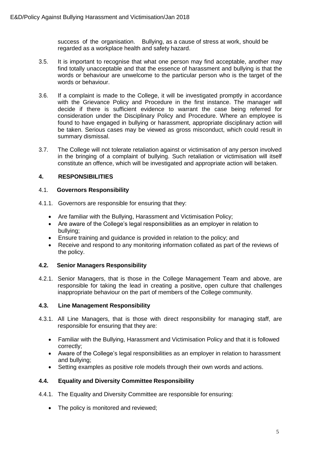success of the organisation. Bullying, as a cause of stress at work, should be regarded as a workplace health and safety hazard.

- 3.5. It is important to recognise that what one person may find acceptable, another may find totally unacceptable and that the essence of harassment and bullying is that the words or behaviour are unwelcome to the particular person who is the target of the words or behaviour.
- 3.6. If a complaint is made to the College, it will be investigated promptly in accordance with the Grievance Policy and Procedure in the first instance. The manager will decide if there is sufficient evidence to warrant the case being referred for consideration under the Disciplinary Policy and Procedure. Where an employee is found to have engaged in bullying or harassment, appropriate disciplinary action will be taken. Serious cases may be viewed as gross misconduct, which could result in summary dismissal.
- 3.7. The College will not tolerate retaliation against or victimisation of any person involved in the bringing of a complaint of bullying. Such retaliation or victimisation will itself constitute an offence, which will be investigated and appropriate action will betaken.

# **4. RESPONSIBILITIES**

#### 4.1. **Governors Responsibility**

- 4.1.1. Governors are responsible for ensuring that they:
	- Are familiar with the Bullying, Harassment and Victimisation Policy;
	- Are aware of the College's legal responsibilities as an employer in relation to bullying;
	- Ensure training and guidance is provided in relation to the policy; and
	- Receive and respond to any monitoring information collated as part of the reviews of the policy.

# **4.2. Senior Managers Responsibility**

4.2.1. Senior Managers, that is those in the College Management Team and above, are responsible for taking the lead in creating a positive, open culture that challenges inappropriate behaviour on the part of members of the College community.

# **4.3. Line Management Responsibility**

- 4.3.1. All Line Managers, that is those with direct responsibility for managing staff, are responsible for ensuring that they are:
	- Familiar with the Bullying, Harassment and Victimisation Policy and that it is followed correctly;
	- Aware of the College's legal responsibilities as an employer in relation to harassment and bullying;
	- Setting examples as positive role models through their own words and actions.

# **4.4. Equality and Diversity Committee Responsibility**

- 4.4.1. The Equality and Diversity Committee are responsible for ensuring:
	- The policy is monitored and reviewed;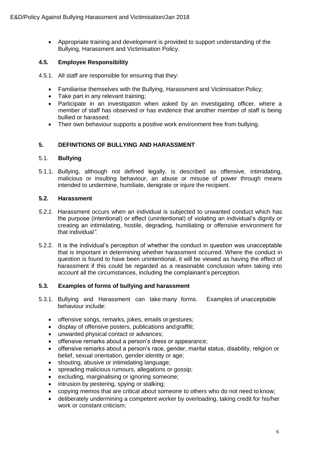• Appropriate training and development is provided to support understanding of the Bullying, Harassment and Victimisation Policy.

# **4.5. Employee Responsibility**

4.5.1. All staff are responsible for ensuring that they:

- Familiarise themselves with the Bullying, Harassment and Victimisation Policy;
- Take part in any relevant training;
- Participate in an investigation when asked by an investigating officer, where a member of staff has observed or has evidence that another member of staff is being bullied or harassed;
- Their own behaviour supports a positive work environment free from bullying.

# **5. DEFINITIONS OF BULLYING AND HARASSMENT**

#### 5.1. **Bullying**

5.1.1. Bullying, although not defined legally, is described as offensive, intimidating, malicious or insulting behaviour, an abuse or misuse of power through means intended to undermine, humiliate, denigrate or injure the recipient.

#### **5.2. Harassment**

- *5.2.1.* Harassment occurs when an individual is subjected to unwanted conduct which has the purpose (intentional) or effect (unintentional) of violating an individual's dignity or creating an intimidating, hostile, degrading, humiliating or offensive environment for that individual*".*
- 5.2.2. It is the individual's perception of whether the conduct in question was unacceptable that is important in determining whether harassment occurred. Where the conduct in question is found to have been unintentional, it will be viewed as having the effect of harassment if this could be regarded as a reasonable conclusion when taking into account all the circumstances, including the complainant's perception.

#### **5.3. Examples of forms of bullying and harassment**

- 5.3.1. Bullying and Harassment can take many forms. Examples of unacceptable behaviour include:
	- offensive songs, remarks, jokes, emails or gestures;
	- display of offensive posters, publications andgraffiti;
	- unwanted physical contact or advances;
	- offensive remarks about a person's dress or appearance;
	- offensive remarks about a person's race, gender, marital status, disability, religion or belief, sexual orientation, gender identity or age;
	- shouting, abusive or intimidating language;
	- spreading malicious rumours, allegations or gossip;
	- excluding, marginalising or ignoring someone;
	- intrusion by pestering, spying or stalking;
	- copying memos that are critical about someone to others who do not need to know;
	- deliberately undermining a competent worker by overloading, taking credit for his/her work or constant criticism;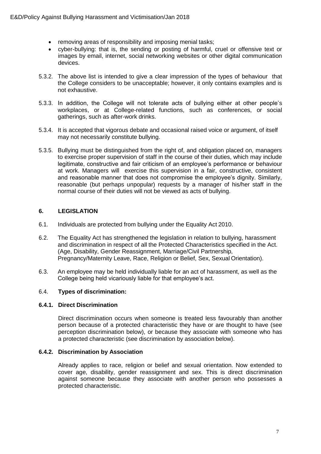- removing areas of responsibility and imposing menial tasks;
- cyber-bullying: that is, the sending or posting of harmful, cruel or offensive text or images by email, internet, social networking websites or other digital communication devices.
- 5.3.2. The above list is intended to give a clear impression of the types of behaviour that the College considers to be unacceptable; however, it only contains examples and is not exhaustive.
- 5.3.3. In addition, the College will not tolerate acts of bullying either at other people's workplaces, or at College-related functions, such as conferences, or social gatherings, such as after-work drinks.
- 5.3.4. It is accepted that vigorous debate and occasional raised voice or argument, of itself may not necessarily constitute bullying.
- 5.3.5. Bullying must be distinguished from the right of, and obligation placed on, managers to exercise proper supervision of staff in the course of their duties, which may include legitimate, constructive and fair criticism of an employee's performance or behaviour at work. Managers will exercise this supervision in a fair, constructive, consistent and reasonable manner that does not compromise the employee's dignity. Similarly, reasonable (but perhaps unpopular) requests by a manager of his/her staff in the normal course of their duties will not be viewed as acts of bullying.

# **6. LEGISLATION**

- 6.1. Individuals are protected from bullying under the Equality Act 2010.
- 6.2. The Equality Act has strengthened the legislation in relation to bullying, harassment and discrimination in respect of all the Protected Characteristics specified in the Act. (Age, Disability, Gender Reassignment, Marriage/Civil Partnership, Pregnancy/Maternity Leave, Race, Religion or Belief, Sex, Sexual Orientation).
- 6.3. An employee may be held individually liable for an act of harassment, as well as the College being held vicariously liable for that employee's act.

#### 6.4. **Types of discrimination:**

#### **6.4.1. Direct Discrimination**

Direct discrimination occurs when someone is treated less favourably than another person because of a protected characteristic they have or are thought to have (see perception discrimination below), or because they associate with someone who has a protected characteristic (see discrimination by association below).

#### **6.4.2. Discrimination by Association**

Already applies to race, religion or belief and sexual orientation. Now extended to cover age, disability, gender reassignment and sex. This is direct discrimination against someone because they associate with another person who possesses a protected characteristic.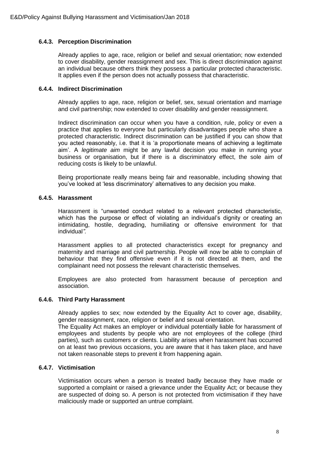#### **6.4.3. Perception Discrimination**

Already applies to age, race, religion or belief and sexual orientation; now extended to cover disability, gender reassignment and sex. This is direct discrimination against an individual because others think they possess a particular protected characteristic. It applies even if the person does not actually possess that characteristic.

#### **6.4.4. Indirect Discrimination**

Already applies to age, race, religion or belief, sex, sexual orientation and marriage and civil partnership; now extended to cover disability and gender reassignment.

Indirect discrimination can occur when you have a condition, rule, policy or even a practice that applies to everyone but particularly disadvantages people who share a protected characteristic. Indirect discrimination can be justified if you can show that you acted reasonably, i.e. that it is 'a proportionate means of achieving a legitimate aim'. A *legitimate aim* might be any lawful decision you make in running your business or organisation, but if there is a discriminatory effect, the sole aim of reducing costs is likely to be unlawful.

Being proportionate really means being fair and reasonable, including showing that you've looked at 'less discriminatory' alternatives to any decision you make.

# **6.4.5. Harassment**

Harassment is "unwanted conduct related to a relevant protected characteristic, which has the purpose or effect of violating an individual's dignity or creating an intimidating, hostile, degrading, humiliating or offensive environment for that individual*".*

Harassment applies to all protected characteristics except for pregnancy and maternity and marriage and civil partnership. People will now be able to complain of behaviour that they find offensive even if it is not directed at them, and the complainant need not possess the relevant characteristic themselves.

Employees are also protected from harassment because of perception and association.

#### **6.4.6. Third Party Harassment**

Already applies to sex; now extended by the Equality Act to cover age, disability, gender reassignment, race, religion or belief and sexual orientation.

The Equality Act makes an employer or individual potentially liable for harassment of employees and students by people who are not employees of the college (third parties), such as customers or clients. Liability arises when harassment has occurred on at least two previous occasions, you are aware that it has taken place, and have not taken reasonable steps to prevent it from happening again.

#### **6.4.7. Victimisation**

Victimisation occurs when a person is treated badly because they have made or supported a complaint or raised a grievance under the Equality Act; or because they are suspected of doing so. A person is not protected from victimisation if they have maliciously made or supported an untrue complaint.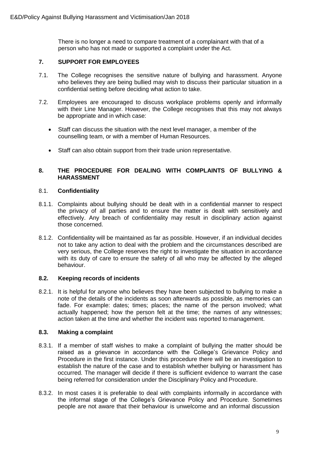There is no longer a need to compare treatment of a complainant with that of a person who has not made or supported a complaint under the Act.

#### **7. SUPPORT FOR EMPLOYEES**

- 7.1. The College recognises the sensitive nature of bullying and harassment. Anyone who believes they are being bullied may wish to discuss their particular situation in a confidential setting before deciding what action to take.
- 7.2. Employees are encouraged to discuss workplace problems openly and informally with their Line Manager. However, the College recognises that this may not always be appropriate and in which case:
	- Staff can discuss the situation with the next level manager, a member of the counselling team, or with a member of Human Resources.
	- Staff can also obtain support from their trade union representative.

#### **8. THE PROCEDURE FOR DEALING WITH COMPLAINTS OF BULLYING & HARASSMENT**

#### 8.1. **Confidentiality**

- 8.1.1. Complaints about bullying should be dealt with in a confidential manner to respect the privacy of all parties and to ensure the matter is dealt with sensitively and effectively. Any breach of confidentiality may result in disciplinary action against those concerned.
- 8.1.2. Confidentiality will be maintained as far as possible. However, if an individual decides not to take any action to deal with the problem and the circumstances described are very serious, the College reserves the right to investigate the situation in accordance with its duty of care to ensure the safety of all who may be affected by the alleged behaviour.

#### **8.2. Keeping records of incidents**

8.2.1. It is helpful for anyone who believes they have been subjected to bullying to make a note of the details of the incidents as soon afterwards as possible, as memories can fade. For example: dates; times; places; the name of the person involved; what actually happened; how the person felt at the time; the names of any witnesses; action taken at the time and whether the incident was reported to management.

#### **8.3. Making a complaint**

- 8.3.1. If a member of staff wishes to make a complaint of bullying the matter should be raised as a grievance in accordance with the College's Grievance Policy and Procedure in the first instance. Under this procedure there will be an investigation to establish the nature of the case and to establish whether bullying or harassment has occurred. The manager will decide if there is sufficient evidence to warrant the case being referred for consideration under the Disciplinary Policy and Procedure.
- 8.3.2. In most cases it is preferable to deal with complaints informally in accordance with the informal stage of the College's Grievance Policy and Procedure. Sometimes people are not aware that their behaviour is unwelcome and an informal discussion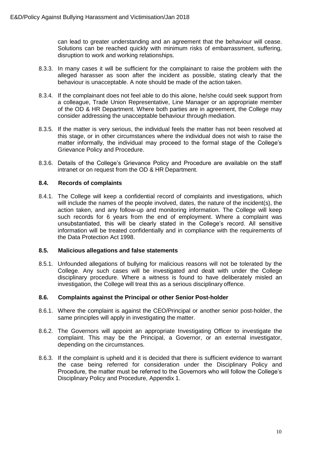can lead to greater understanding and an agreement that the behaviour will cease. Solutions can be reached quickly with minimum risks of embarrassment, suffering, disruption to work and working relationships.

- 8.3.3. In many cases it will be sufficient for the complainant to raise the problem with the alleged harasser as soon after the incident as possible, stating clearly that the behaviour is unacceptable. A note should be made of the action taken.
- 8.3.4. If the complainant does not feel able to do this alone, he/she could seek support from a colleague, Trade Union Representative, Line Manager or an appropriate member of the OD & HR Department. Where both parties are in agreement, the College may consider addressing the unacceptable behaviour through mediation.
- 8.3.5. If the matter is very serious, the individual feels the matter has not been resolved at this stage, or in other circumstances where the individual does not wish to raise the matter informally, the individual may proceed to the formal stage of the College's Grievance Policy and Procedure.
- 8.3.6. Details of the College's Grievance Policy and Procedure are available on the staff intranet or on request from the OD & HR Department.

#### **8.4. Records of complaints**

8.4.1. The College will keep a confidential record of complaints and investigations, which will include the names of the people involved, dates, the nature of the incident(s), the action taken, and any follow-up and monitoring information. The College will keep such records for 6 years from the end of employment. Where a complaint was unsubstantiated, this will be clearly stated in the College's record. All sensitive information will be treated confidentially and in compliance with the requirements of the Data Protection Act 1998.

#### **8.5. Malicious allegations and false statements**

8.5.1. Unfounded allegations of bullying for malicious reasons will not be tolerated by the College. Any such cases will be investigated and dealt with under the College disciplinary procedure. Where a witness is found to have deliberately misled an investigation, the College will treat this as a serious disciplinary offence.

#### **8.6. Complaints against the Principal or other Senior Post-holder**

- 8.6.1. Where the complaint is against the CEO/Principal or another senior post-holder, the same principles will apply in investigating the matter.
- 8.6.2. The Governors will appoint an appropriate Investigating Officer to investigate the complaint. This may be the Principal, a Governor, or an external investigator, depending on the circumstances.
- 8.6.3. If the complaint is upheld and it is decided that there is sufficient evidence to warrant the case being referred for consideration under the Disciplinary Policy and Procedure, the matter must be referred to the Governors who will follow the College's Disciplinary Policy and Procedure, Appendix 1.